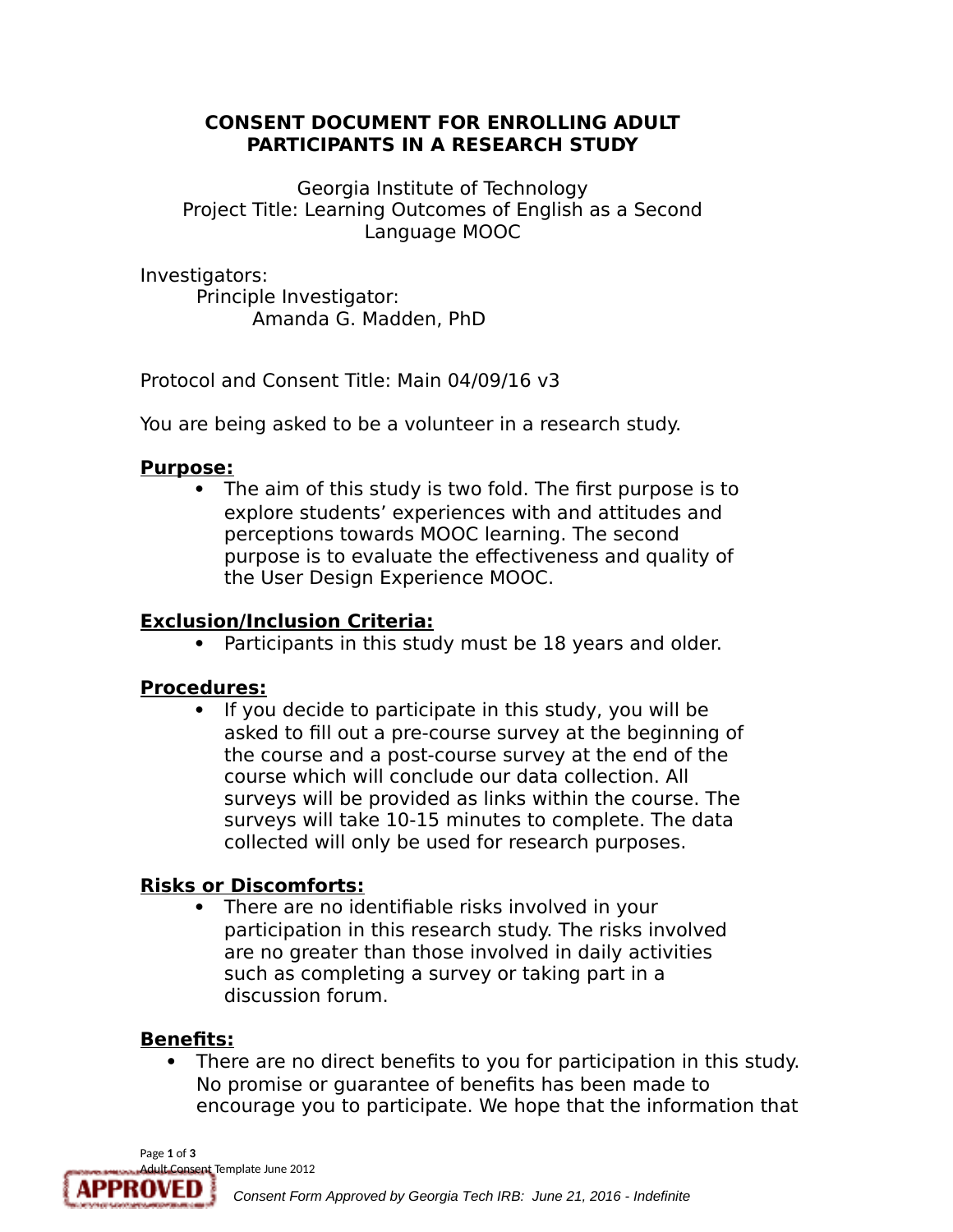### **CONSENT DOCUMENT FOR ENROLLING ADULT PARTICIPANTS IN A RESEARCH STUDY**

Georgia Institute of Technology Project Title: Learning Outcomes of English as a Second Language MOOC

Investigators:

Principle Investigator: Amanda G. Madden, PhD

Protocol and Consent Title: Main 04/09/16 v3

You are being asked to be a volunteer in a research study.

## **Purpose:**

 The aim of this study is two fold. The first purpose is to explore students' experiences with and attitudes and perceptions towards MOOC learning. The second purpose is to evaluate the effectiveness and quality of the User Design Experience MOOC.

## **Exclusion/Inclusion Criteria:**

• Participants in this study must be 18 years and older.

# **Procedures:**

• If you decide to participate in this study, you will be asked to fill out a pre-course survey at the beginning of the course and a post-course survey at the end of the course which will conclude our data collection. All surveys will be provided as links within the course. The surveys will take 10-15 minutes to complete. The data collected will only be used for research purposes.

# **Risks or Discomforts:**

 There are no identifiable risks involved in your participation in this research study. The risks involved are no greater than those involved in daily activities such as completing a survey or taking part in a discussion forum.

# **Benefits:**

 There are no direct benefits to you for participation in this study. No promise or guarantee of benefits has been made to encourage you to participate. We hope that the information that

Page **1** of **3**

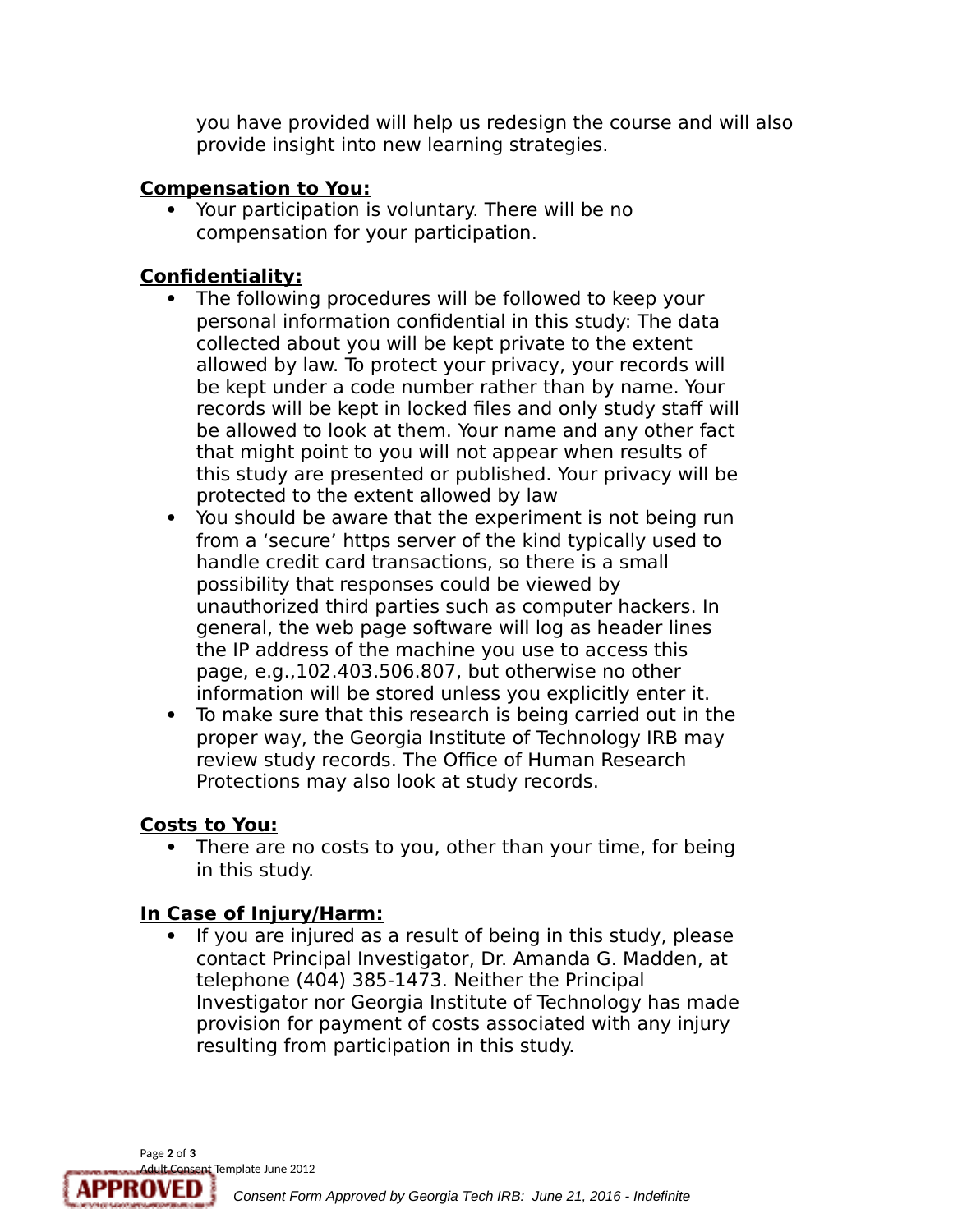you have provided will help us redesign the course and will also provide insight into new learning strategies.

### **Compensation to You:**

 Your participation is voluntary. There will be no compensation for your participation.

## **Confidentiality:**

- The following procedures will be followed to keep your personal information confidential in this study: The data collected about you will be kept private to the extent allowed by law. To protect your privacy, your records will be kept under a code number rather than by name. Your records will be kept in locked files and only study staff will be allowed to look at them. Your name and any other fact that might point to you will not appear when results of this study are presented or published. Your privacy will be protected to the extent allowed by law
- You should be aware that the experiment is not being run from a 'secure' https server of the kind typically used to handle credit card transactions, so there is a small possibility that responses could be viewed by unauthorized third parties such as computer hackers. In general, the web page software will log as header lines the IP address of the machine you use to access this page, e.g.,102.403.506.807, but otherwise no other information will be stored unless you explicitly enter it.
- To make sure that this research is being carried out in the proper way, the Georgia Institute of Technology IRB may review study records. The Office of Human Research Protections may also look at study records.

## **Costs to You:**

• There are no costs to you, other than your time, for being in this study.

# **In Case of Injury/Harm:**

 If you are injured as a result of being in this study, please contact Principal Investigator, Dr. Amanda G. Madden, at telephone (404) 385-1473. Neither the Principal Investigator nor Georgia Institute of Technology has made provision for payment of costs associated with any injury resulting from participation in this study.

Page **2** of **3** Adult Consent Template June 2012